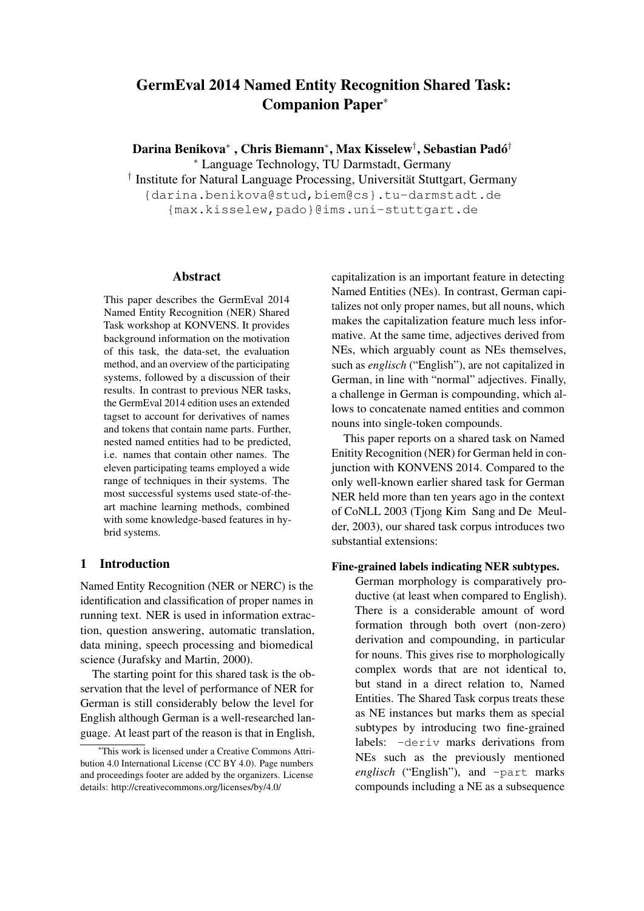# GermEval 2014 Named Entity Recognition Shared Task: Companion Paper<sup>∗</sup>

Darina Benikova\* , Chris Biemann\*, Max Kisselew<sup>†</sup>, Sebastian Padó<sup>†</sup> <sup>∗</sup> Language Technology, TU Darmstadt, Germany

<sup>†</sup> Institute for Natural Language Processing, Universität Stuttgart, Germany {darina.benikova@stud,biem@cs}.tu-darmstadt.de {max.kisselew,pado}@ims.uni-stuttgart.de

#### Abstract

This paper describes the GermEval 2014 Named Entity Recognition (NER) Shared Task workshop at KONVENS. It provides background information on the motivation of this task, the data-set, the evaluation method, and an overview of the participating systems, followed by a discussion of their results. In contrast to previous NER tasks, the GermEval 2014 edition uses an extended tagset to account for derivatives of names and tokens that contain name parts. Further, nested named entities had to be predicted, i.e. names that contain other names. The eleven participating teams employed a wide range of techniques in their systems. The most successful systems used state-of-theart machine learning methods, combined with some knowledge-based features in hybrid systems.

## 1 Introduction

Named Entity Recognition (NER or NERC) is the identification and classification of proper names in running text. NER is used in information extraction, question answering, automatic translation, data mining, speech processing and biomedical science (Jurafsky and Martin, 2000).

The starting point for this shared task is the observation that the level of performance of NER for German is still considerably below the level for English although German is a well-researched language. At least part of the reason is that in English,

capitalization is an important feature in detecting Named Entities (NEs). In contrast, German capitalizes not only proper names, but all nouns, which makes the capitalization feature much less informative. At the same time, adjectives derived from NEs, which arguably count as NEs themselves, such as *englisch* ("English"), are not capitalized in German, in line with "normal" adjectives. Finally, a challenge in German is compounding, which allows to concatenate named entities and common nouns into single-token compounds.

This paper reports on a shared task on Named Enitity Recognition (NER) for German held in conjunction with KONVENS 2014. Compared to the only well-known earlier shared task for German NER held more than ten years ago in the context of CoNLL 2003 (Tjong Kim Sang and De Meulder, 2003), our shared task corpus introduces two substantial extensions:

### Fine-grained labels indicating NER subtypes.

German morphology is comparatively productive (at least when compared to English). There is a considerable amount of word formation through both overt (non-zero) derivation and compounding, in particular for nouns. This gives rise to morphologically complex words that are not identical to, but stand in a direct relation to, Named Entities. The Shared Task corpus treats these as NE instances but marks them as special subtypes by introducing two fine-grained labels: -deriv marks derivations from NEs such as the previously mentioned *englisch* ("English"), and -part marks compounds including a NE as a subsequence

<sup>∗</sup>This work is licensed under a Creative Commons Attribution 4.0 International License (CC BY 4.0). Page numbers and proceedings footer are added by the organizers. License details: http://creativecommons.org/licenses/by/4.0/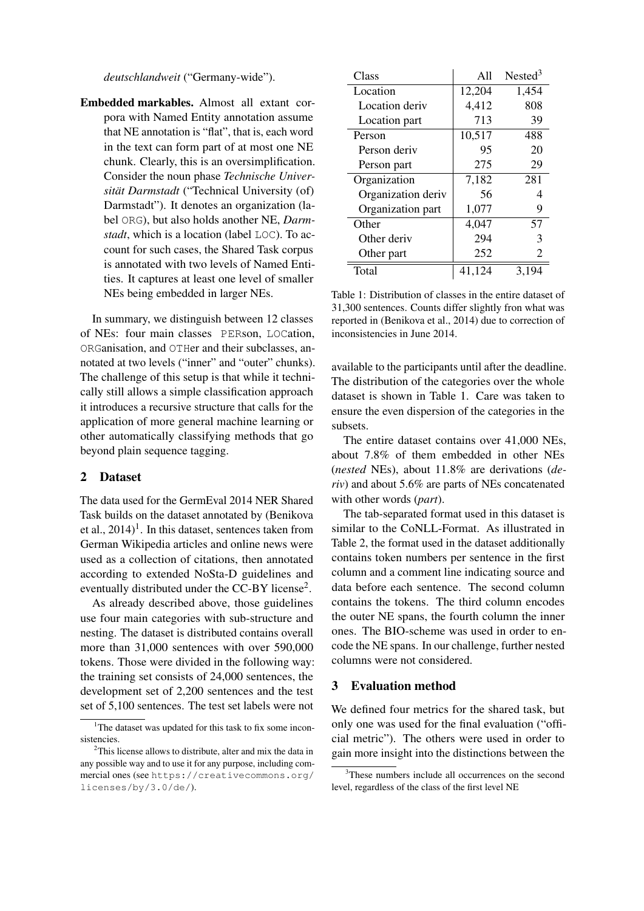*deutschlandweit* ("Germany-wide").

Embedded markables. Almost all extant corpora with Named Entity annotation assume that NE annotation is "flat", that is, each word in the text can form part of at most one NE chunk. Clearly, this is an oversimplification. Consider the noun phase *Technische Universität Darmstadt* ("Technical University (of) Darmstadt"). It denotes an organization (label ORG), but also holds another NE, *Darmstadt*, which is a location (label LOC). To account for such cases, the Shared Task corpus is annotated with two levels of Named Entities. It captures at least one level of smaller NEs being embedded in larger NEs.

In summary, we distinguish between 12 classes of NEs: four main classes PERson, LOCation, ORGanisation, and OTHer and their subclasses, annotated at two levels ("inner" and "outer" chunks). The challenge of this setup is that while it technically still allows a simple classification approach it introduces a recursive structure that calls for the application of more general machine learning or other automatically classifying methods that go beyond plain sequence tagging.

#### 2 Dataset

The data used for the GermEval 2014 NER Shared Task builds on the dataset annotated by (Benikova et al.,  $2014$ <sup>1</sup>. In this dataset, sentences taken from German Wikipedia articles and online news were used as a collection of citations, then annotated according to extended NoSta-D guidelines and eventually distributed under the CC-BY license<sup>2</sup>.

As already described above, those guidelines use four main categories with sub-structure and nesting. The dataset is distributed contains overall more than 31,000 sentences with over 590,000 tokens. Those were divided in the following way: the training set consists of 24,000 sentences, the development set of 2,200 sentences and the test set of 5,100 sentences. The test set labels were not

| Class              | A11    | Nested <sup>3</sup> |
|--------------------|--------|---------------------|
| Location           | 12,204 | 1,454               |
| Location deriv     | 4,412  | 808                 |
| Location part      | 713    | 39                  |
| Person             | 10,517 | 488                 |
| Person deriv       | 95     | 20                  |
| Person part        | 275    | 29                  |
| Organization       | 7,182  | 281                 |
| Organization deriv | 56     | 4                   |
| Organization part  | 1,077  | 9                   |
| Other              | 4,047  | 57                  |
| Other deriv        | 294    | 3                   |
| Other part         | 252    | 2                   |
| Total              | 41,124 | 3,194               |

Table 1: Distribution of classes in the entire dataset of 31,300 sentences. Counts differ slightly fron what was reported in (Benikova et al., 2014) due to correction of inconsistencies in June 2014.

available to the participants until after the deadline. The distribution of the categories over the whole dataset is shown in Table 1. Care was taken to ensure the even dispersion of the categories in the subsets.

The entire dataset contains over 41,000 NEs, about 7.8% of them embedded in other NEs (*nested* NEs), about 11.8% are derivations (*deriv*) and about 5.6% are parts of NEs concatenated with other words (*part*).

The tab-separated format used in this dataset is similar to the CoNLL-Format. As illustrated in Table 2, the format used in the dataset additionally contains token numbers per sentence in the first column and a comment line indicating source and data before each sentence. The second column contains the tokens. The third column encodes the outer NE spans, the fourth column the inner ones. The BIO-scheme was used in order to encode the NE spans. In our challenge, further nested columns were not considered.

### 3 Evaluation method

We defined four metrics for the shared task, but only one was used for the final evaluation ("official metric"). The others were used in order to gain more insight into the distinctions between the

<sup>&</sup>lt;sup>1</sup>The dataset was updated for this task to fix some inconsistencies.

<sup>&</sup>lt;sup>2</sup>This license allows to distribute, alter and mix the data in any possible way and to use it for any purpose, including commercial ones (see https://creativecommons.org/ licenses/by/3.0/de/).

<sup>&</sup>lt;sup>3</sup>These numbers include all occurrences on the second level, regardless of the class of the first level NE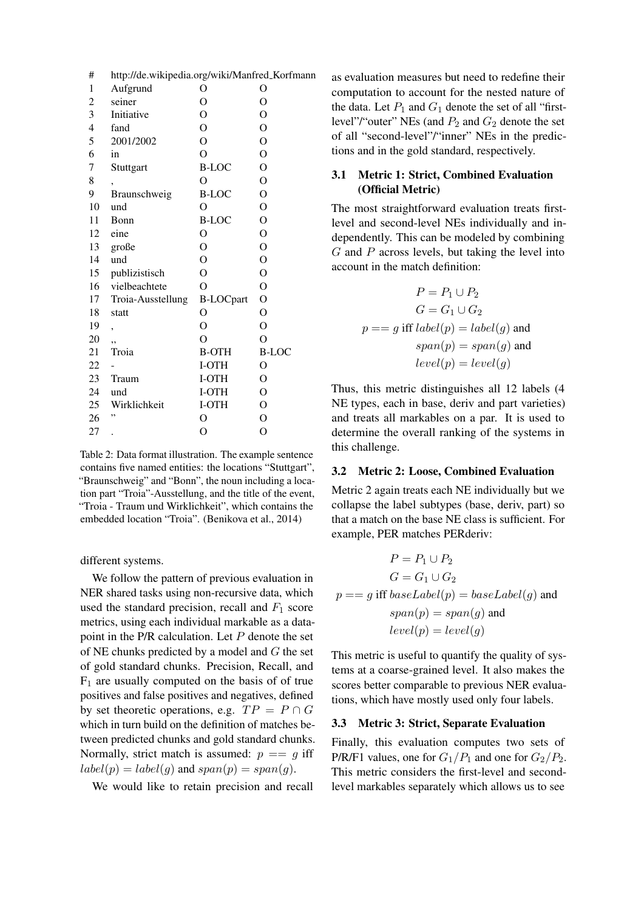| #              | http://de.wikipedia.org/wiki/Manfred_Korfmann |                  |                |
|----------------|-----------------------------------------------|------------------|----------------|
| 1              | Aufgrund                                      | O                | O              |
| 2              | seiner                                        | O                | $\overline{O}$ |
| 3              | Initiative                                    | $\overline{O}$   | $\overline{O}$ |
| $\overline{4}$ | fand                                          | $\overline{O}$   | $\overline{O}$ |
| 5              | 2001/2002                                     | $\overline{O}$   | $\mathcal{O}$  |
| 6              | in                                            | $\Omega$         | $\overline{O}$ |
| 7              | Stuttgart                                     | <b>B-LOC</b>     | $\overline{O}$ |
| 8              |                                               | $\overline{O}$   | $\mathcal{O}$  |
| 9              | Braunschweig                                  | <b>B-LOC</b>     | $\mathcal{O}$  |
| 10             | und                                           | $\overline{O}$   | $\overline{O}$ |
| 11             | Bonn                                          | <b>B-LOC</b>     | $\overline{O}$ |
| 12             | eine                                          | O                | $\mathcal{O}$  |
| 13             | große                                         | $\overline{O}$   | $\overline{O}$ |
| 14             | und                                           | $\overline{O}$   | $\overline{O}$ |
| 15             | publizistisch                                 | $\overline{O}$   | $\overline{O}$ |
| 16             | vielbeachtete                                 | $\overline{O}$   | $\overline{O}$ |
| 17             | Troia-Ausstellung                             | <b>B-LOCpart</b> | $\overline{O}$ |
| 18             | statt                                         | O                | $\mathcal{O}$  |
| 19             | ,                                             | $\overline{O}$   | $\overline{O}$ |
| 20             | ٠,                                            | $\overline{O}$   | $\overline{O}$ |
| 21             | Troia                                         | <b>B-OTH</b>     | <b>B-LOC</b>   |
| 22             |                                               | I-OTH            | O              |
| 23             | Traum                                         | I-OTH            | $\overline{O}$ |
| 24             | und                                           | I-OTH            | O              |
| 25             | Wirklichkeit                                  | I-OTH            | $\mathcal{O}$  |
| 26             | ,,                                            | O                | $\overline{O}$ |
| 27             |                                               | $\overline{O}$   | $\overline{O}$ |

Table 2: Data format illustration. The example sentence contains five named entities: the locations "Stuttgart", "Braunschweig" and "Bonn", the noun including a location part "Troia"-Ausstellung, and the title of the event, "Troia - Traum und Wirklichkeit", which contains the embedded location "Troia". (Benikova et al., 2014)

different systems.

We follow the pattern of previous evaluation in NER shared tasks using non-recursive data, which used the standard precision, recall and  $F_1$  score metrics, using each individual markable as a datapoint in the  $P/R$  calculation. Let  $P$  denote the set of NE chunks predicted by a model and G the set of gold standard chunks. Precision, Recall, and  $F_1$  are usually computed on the basis of of true positives and false positives and negatives, defined by set theoretic operations, e.g.  $TP = P \cap G$ which in turn build on the definition of matches between predicted chunks and gold standard chunks. Normally, strict match is assumed:  $p == q$  iff  $label(p) = label(g)$  and  $span(p) = span(g)$ .

We would like to retain precision and recall

as evaluation measures but need to redefine their computation to account for the nested nature of the data. Let  $P_1$  and  $G_1$  denote the set of all "firstlevel"/"outer" NEs (and  $P_2$  and  $G_2$  denote the set of all "second-level"/"inner" NEs in the predictions and in the gold standard, respectively.

# 3.1 Metric 1: Strict, Combined Evaluation (Official Metric)

The most straightforward evaluation treats firstlevel and second-level NEs individually and independently. This can be modeled by combining  $G$  and  $P$  across levels, but taking the level into account in the match definition:

$$
P = P_1 \cup P_2
$$
  
\n
$$
G = G_1 \cup G_2
$$
  
\n
$$
p == g \text{ iff } label(p) = label(g) \text{ and }
$$
  
\n
$$
span(p) = span(g) \text{ and }
$$
  
\n
$$
level(p) = level(g)
$$

Thus, this metric distinguishes all 12 labels (4 NE types, each in base, deriv and part varieties) and treats all markables on a par. It is used to determine the overall ranking of the systems in this challenge.

## 3.2 Metric 2: Loose, Combined Evaluation

Metric 2 again treats each NE individually but we collapse the label subtypes (base, deriv, part) so that a match on the base NE class is sufficient. For example, PER matches PERderiv:

$$
P = P_1 \cup P_2
$$
  
\n
$$
G = G_1 \cup G_2
$$
  
\n
$$
p == g \text{ iff } baseLabel(p) = baseLabel(g) \text{ and }
$$
  
\n
$$
span(p) = span(g) \text{ and }
$$
  
\n
$$
level(p) = level(g)
$$

This metric is useful to quantify the quality of systems at a coarse-grained level. It also makes the scores better comparable to previous NER evaluations, which have mostly used only four labels.

### 3.3 Metric 3: Strict, Separate Evaluation

Finally, this evaluation computes two sets of P/R/F1 values, one for  $G_1/P_1$  and one for  $G_2/P_2$ . This metric considers the first-level and secondlevel markables separately which allows us to see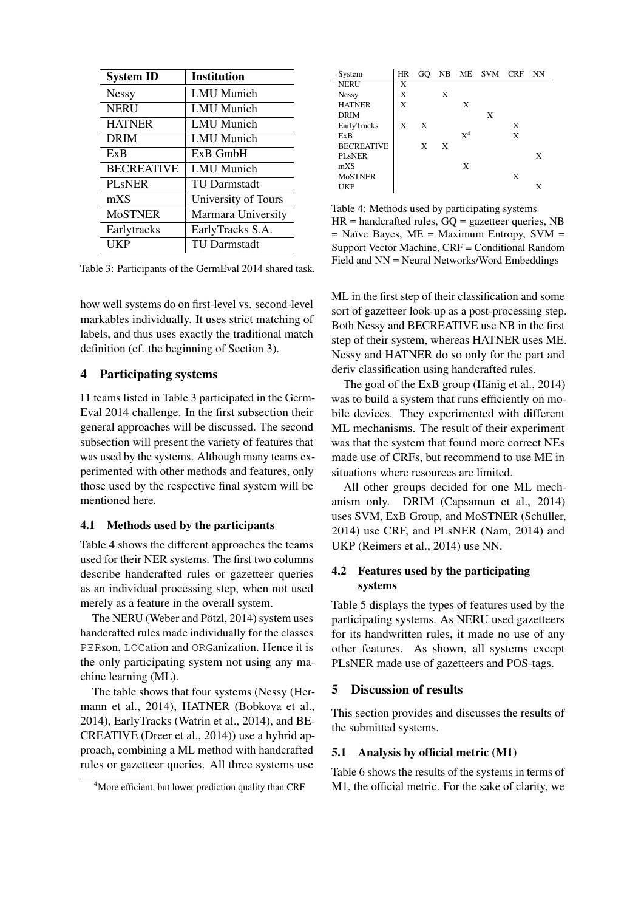| <b>System ID</b>  | <b>Institution</b>  |
|-------------------|---------------------|
| <b>Nessy</b>      | <b>LMU</b> Munich   |
| <b>NERU</b>       | LMU Munich          |
| <b>HATNER</b>     | LMU Munich          |
| <b>DRIM</b>       | LMU Munich          |
| ExB               | $ExB$ GmbH          |
| <b>BECREATIVE</b> | LMU Munich          |
| <b>PL</b> sNER    | <b>TU Darmstadt</b> |
| mXS               | University of Tours |
| <b>MoSTNER</b>    | Marmara University  |
| Earlytracks       | EarlyTracks S.A.    |
| UKP               | TU Darmstadt        |

Table 3: Participants of the GermEval 2014 shared task.

how well systems do on first-level vs. second-level markables individually. It uses strict matching of labels, and thus uses exactly the traditional match definition (cf. the beginning of Section 3).

# 4 Participating systems

11 teams listed in Table 3 participated in the Germ-Eval 2014 challenge. In the first subsection their general approaches will be discussed. The second subsection will present the variety of features that was used by the systems. Although many teams experimented with other methods and features, only those used by the respective final system will be mentioned here.

## 4.1 Methods used by the participants

Table 4 shows the different approaches the teams used for their NER systems. The first two columns describe handcrafted rules or gazetteer queries as an individual processing step, when not used merely as a feature in the overall system.

The NERU (Weber and Pötzl, 2014) system uses handcrafted rules made individually for the classes PERson, LOCation and ORGanization. Hence it is the only participating system not using any machine learning (ML).

The table shows that four systems (Nessy (Hermann et al., 2014), HATNER (Bobkova et al., 2014), EarlyTracks (Watrin et al., 2014), and BE-CREATIVE (Dreer et al., 2014)) use a hybrid approach, combining a ML method with handcrafted rules or gazetteer queries. All three systems use

| System              | HR | GO. |   |       | NB ME SVM CRF |   | NN |
|---------------------|----|-----|---|-------|---------------|---|----|
| <b>NERU</b>         | X  |     |   |       |               |   |    |
| <b>Nessy</b>        | X  |     | X |       |               |   |    |
| <b>HATNER</b>       | X  |     |   | X     |               |   |    |
| <b>DRIM</b>         |    |     |   |       | X             |   |    |
| EarlyTracks         | X  | X   |   |       |               | X |    |
| ExB                 |    |     |   | $X^4$ |               | X |    |
| <b>BECREATIVE</b>   |    | X   | X |       |               |   |    |
| PL <sub>s</sub> NER |    |     |   |       |               |   | X  |
| mXS                 |    |     |   | X     |               |   |    |
| <b>MoSTNER</b>      |    |     |   |       |               | X |    |
| <b>UKP</b>          |    |     |   |       |               |   |    |

Table 4: Methods used by participating systems  $HR = \text{handcrafted rules}$ ,  $GO = \text{gazetteer queries}$ , NB  $=$  Naïve Bayes, ME  $=$  Maximum Entropy, SVM  $=$ Support Vector Machine, CRF = Conditional Random Field and NN = Neural Networks/Word Embeddings

ML in the first step of their classification and some sort of gazetteer look-up as a post-processing step. Both Nessy and BECREATIVE use NB in the first step of their system, whereas HATNER uses ME. Nessy and HATNER do so only for the part and deriv classification using handcrafted rules.

The goal of the ExB group (Hänig et al.,  $2014$ ) was to build a system that runs efficiently on mobile devices. They experimented with different ML mechanisms. The result of their experiment was that the system that found more correct NEs made use of CRFs, but recommend to use ME in situations where resources are limited.

All other groups decided for one ML mechanism only. DRIM (Capsamun et al., 2014) uses SVM, ExB Group, and MoSTNER (Schüller, 2014) use CRF, and PLsNER (Nam, 2014) and UKP (Reimers et al., 2014) use NN.

## 4.2 Features used by the participating systems

Table 5 displays the types of features used by the participating systems. As NERU used gazetteers for its handwritten rules, it made no use of any other features. As shown, all systems except PLsNER made use of gazetteers and POS-tags.

## 5 Discussion of results

This section provides and discusses the results of the submitted systems.

#### 5.1 Analysis by official metric (M1)

Table 6 shows the results of the systems in terms of M1, the official metric. For the sake of clarity, we

<sup>&</sup>lt;sup>4</sup>More efficient, but lower prediction quality than CRF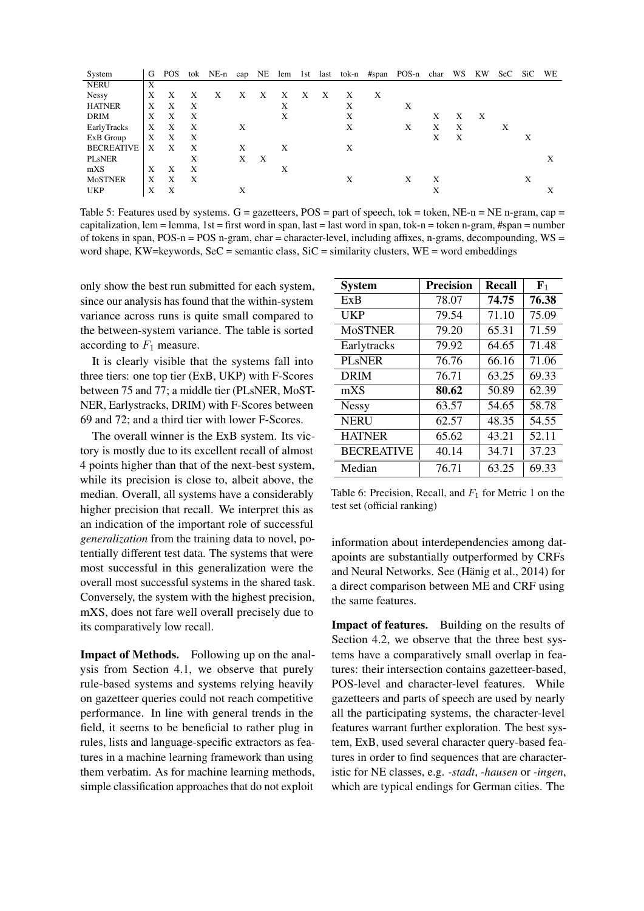| System            | G | POS |   |   |   |   |   |   |   |   |   | tok NE-n cap NE lem 1st last tok-n #span POS-n char |   | WS | KW | SeC SiC |   | WE |
|-------------------|---|-----|---|---|---|---|---|---|---|---|---|-----------------------------------------------------|---|----|----|---------|---|----|
| <b>NERU</b>       | Χ |     |   |   |   |   |   |   |   |   |   |                                                     |   |    |    |         |   |    |
| <b>Nessy</b>      | X | X   | Х | Х | Х | X | х | X | X | X | X |                                                     |   |    |    |         |   |    |
| <b>HATNER</b>     | Χ | X   | X |   |   |   | Χ |   |   | X |   | Χ                                                   |   |    |    |         |   |    |
| <b>DRIM</b>       | X | X   | X |   |   |   | X |   |   | X |   |                                                     | X | X  | X  |         |   |    |
| EarlyTracks       | X | X   | Χ |   | X |   |   |   |   | X |   | X                                                   | X | Χ  |    | X       |   |    |
| ExB Group         | Χ | X   | Х |   |   |   |   |   |   |   |   |                                                     | X | X  |    |         | X |    |
| <b>BECREATIVE</b> | X | X   | X |   | X |   | X |   |   | Χ |   |                                                     |   |    |    |         |   |    |
| <b>PLsNER</b>     |   |     | X |   | X | X |   |   |   |   |   |                                                     |   |    |    |         |   | X  |
| mXS               | X | X   | X |   |   |   | Х |   |   |   |   |                                                     |   |    |    |         |   |    |
| <b>MoSTNER</b>    | X | X   | X |   |   |   |   |   |   | X |   | X                                                   | Х |    |    |         | X |    |
| <b>UKP</b>        | X | X   |   |   | Х |   |   |   |   |   |   |                                                     | Х |    |    |         |   | Χ  |

Table 5: Features used by systems.  $G =$  gazetteers, POS = part of speech, tok = token, NE-n = NE n-gram, cap = capitalization, lem = lemma, 1st = first word in span, last = last word in span, tok-n = token n-gram, #span = number of tokens in span, POS-n = POS n-gram, char = character-level, including affixes, n-grams, decompounding, WS = word shape, KW=keywords, SeC = semantic class,  $SiC$  = similarity clusters, WE = word embeddings

only show the best run submitted for each system, since our analysis has found that the within-system variance across runs is quite small compared to the between-system variance. The table is sorted according to  $F_1$  measure.

It is clearly visible that the systems fall into three tiers: one top tier (ExB, UKP) with F-Scores between 75 and 77; a middle tier (PLsNER, MoST-NER, Earlystracks, DRIM) with F-Scores between 69 and 72; and a third tier with lower F-Scores.

The overall winner is the ExB system. Its victory is mostly due to its excellent recall of almost 4 points higher than that of the next-best system, while its precision is close to, albeit above, the median. Overall, all systems have a considerably higher precision that recall. We interpret this as an indication of the important role of successful *generalization* from the training data to novel, potentially different test data. The systems that were most successful in this generalization were the overall most successful systems in the shared task. Conversely, the system with the highest precision, mXS, does not fare well overall precisely due to its comparatively low recall.

Impact of Methods. Following up on the analysis from Section 4.1, we observe that purely rule-based systems and systems relying heavily on gazetteer queries could not reach competitive performance. In line with general trends in the field, it seems to be beneficial to rather plug in rules, lists and language-specific extractors as features in a machine learning framework than using them verbatim. As for machine learning methods, simple classification approaches that do not exploit

| <b>System</b>     | <b>Precision</b> | <b>Recall</b> | $\mathbf{F}_1$ |
|-------------------|------------------|---------------|----------------|
| ExB               | 78.07            | 74.75         | 76.38          |
| <b>UKP</b>        | 79.54            | 71.10         | 75.09          |
| <b>MoSTNER</b>    | 79.20            | 65.31         | 71.59          |
| Earlytracks       | 79.92            | 64.65         | 71.48          |
| <b>PL</b> sNER    | 76.76            | 66.16         | 71.06          |
| <b>DRIM</b>       | 76.71            | 63.25         | 69.33          |
| mXS               | 80.62            | 50.89         | 62.39          |
| <b>Nessy</b>      | 63.57            | 54.65         | 58.78          |
| <b>NERU</b>       | 62.57            | 48.35         | 54.55          |
| <b>HATNER</b>     | 65.62            | 43.21         | 52.11          |
| <b>BECREATIVE</b> | 40.14            | 34.71         | 37.23          |
| Median            | 76.71            | 63.25         | 69.33          |

Table 6: Precision, Recall, and  $F_1$  for Metric 1 on the test set (official ranking)

information about interdependencies among datapoints are substantially outperformed by CRFs and Neural Networks. See (Hänig et al., 2014) for a direct comparison between ME and CRF using the same features.

Impact of features. Building on the results of Section 4.2, we observe that the three best systems have a comparatively small overlap in features: their intersection contains gazetteer-based, POS-level and character-level features. While gazetteers and parts of speech are used by nearly all the participating systems, the character-level features warrant further exploration. The best system, ExB, used several character query-based features in order to find sequences that are characteristic for NE classes, e.g. *-stadt*, *-hausen* or *-ingen*, which are typical endings for German cities. The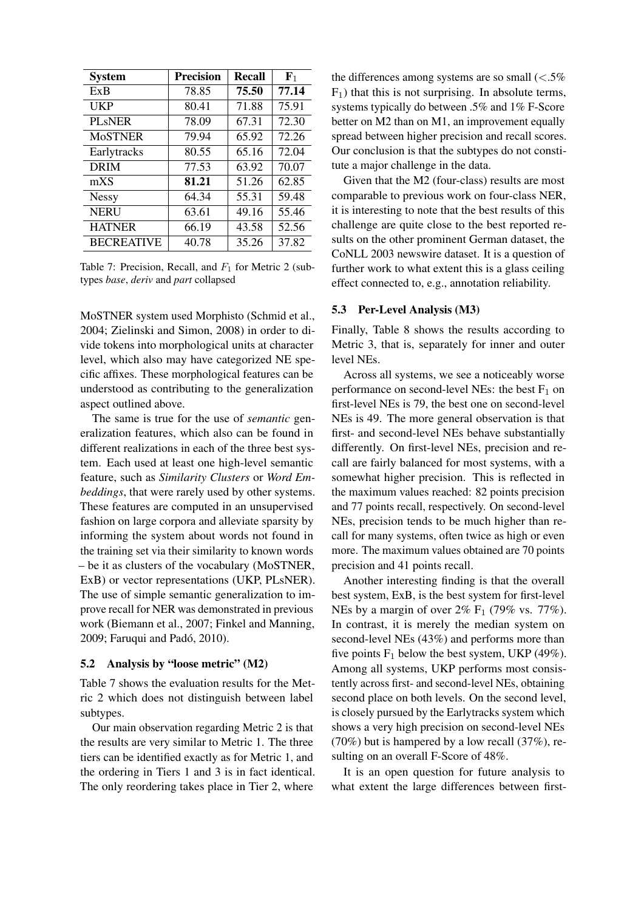| <b>System</b>     | <b>Precision</b> | <b>Recall</b> | $\mathbf{F}_1$ |
|-------------------|------------------|---------------|----------------|
| ExB               | 78.85            | 75.50         | 77.14          |
| <b>UKP</b>        | 80.41            | 71.88         | 75.91          |
| <b>PL</b> sNER    | 78.09            | 67.31         | 72.30          |
| <b>MoSTNER</b>    | 79.94            | 65.92         | 72.26          |
| Earlytracks       | 80.55            | 65.16         | 72.04          |
| <b>DRIM</b>       | 77.53            | 63.92         | 70.07          |
| mXS               | 81.21            | 51.26         | 62.85          |
| <b>Nessy</b>      | 64.34            | 55.31         | 59.48          |
| <b>NERU</b>       | 63.61            | 49.16         | 55.46          |
| <b>HATNER</b>     | 66.19            | 43.58         | 52.56          |
| <b>BECREATIVE</b> | 40.78            | 35.26         | 37.82          |

Table 7: Precision, Recall, and  $F_1$  for Metric 2 (subtypes *base*, *deriv* and *part* collapsed

MoSTNER system used Morphisto (Schmid et al., 2004; Zielinski and Simon, 2008) in order to divide tokens into morphological units at character level, which also may have categorized NE specific affixes. These morphological features can be understood as contributing to the generalization aspect outlined above.

The same is true for the use of *semantic* generalization features, which also can be found in different realizations in each of the three best system. Each used at least one high-level semantic feature, such as *Similarity Clusters* or *Word Embeddings*, that were rarely used by other systems. These features are computed in an unsupervised fashion on large corpora and alleviate sparsity by informing the system about words not found in the training set via their similarity to known words – be it as clusters of the vocabulary (MoSTNER, ExB) or vector representations (UKP, PLsNER). The use of simple semantic generalization to improve recall for NER was demonstrated in previous work (Biemann et al., 2007; Finkel and Manning, 2009; Faruqui and Pado, 2010). ´

### 5.2 Analysis by "loose metric" (M2)

Table 7 shows the evaluation results for the Metric 2 which does not distinguish between label subtypes.

Our main observation regarding Metric 2 is that the results are very similar to Metric 1. The three tiers can be identified exactly as for Metric 1, and the ordering in Tiers 1 and 3 is in fact identical. The only reordering takes place in Tier 2, where

the differences among systems are so small  $\langle \langle .5\% \rangle$  $F_1$ ) that this is not surprising. In absolute terms, systems typically do between .5% and 1% F-Score better on M2 than on M1, an improvement equally spread between higher precision and recall scores. Our conclusion is that the subtypes do not constitute a major challenge in the data.

Given that the M2 (four-class) results are most comparable to previous work on four-class NER, it is interesting to note that the best results of this challenge are quite close to the best reported results on the other prominent German dataset, the CoNLL 2003 newswire dataset. It is a question of further work to what extent this is a glass ceiling effect connected to, e.g., annotation reliability.

#### 5.3 Per-Level Analysis (M3)

Finally, Table 8 shows the results according to Metric 3, that is, separately for inner and outer level NEs.

Across all systems, we see a noticeably worse performance on second-level NEs: the best  $F_1$  on first-level NEs is 79, the best one on second-level NEs is 49. The more general observation is that first- and second-level NEs behave substantially differently. On first-level NEs, precision and recall are fairly balanced for most systems, with a somewhat higher precision. This is reflected in the maximum values reached: 82 points precision and 77 points recall, respectively. On second-level NEs, precision tends to be much higher than recall for many systems, often twice as high or even more. The maximum values obtained are 70 points precision and 41 points recall.

Another interesting finding is that the overall best system, ExB, is the best system for first-level NEs by a margin of over  $2\%$  F<sub>1</sub> (79% vs. 77%). In contrast, it is merely the median system on second-level NEs (43%) and performs more than five points  $F_1$  below the best system, UKP (49%). Among all systems, UKP performs most consistently across first- and second-level NEs, obtaining second place on both levels. On the second level, is closely pursued by the Earlytracks system which shows a very high precision on second-level NEs (70%) but is hampered by a low recall  $(37\%)$ , resulting on an overall F-Score of 48%.

It is an open question for future analysis to what extent the large differences between first-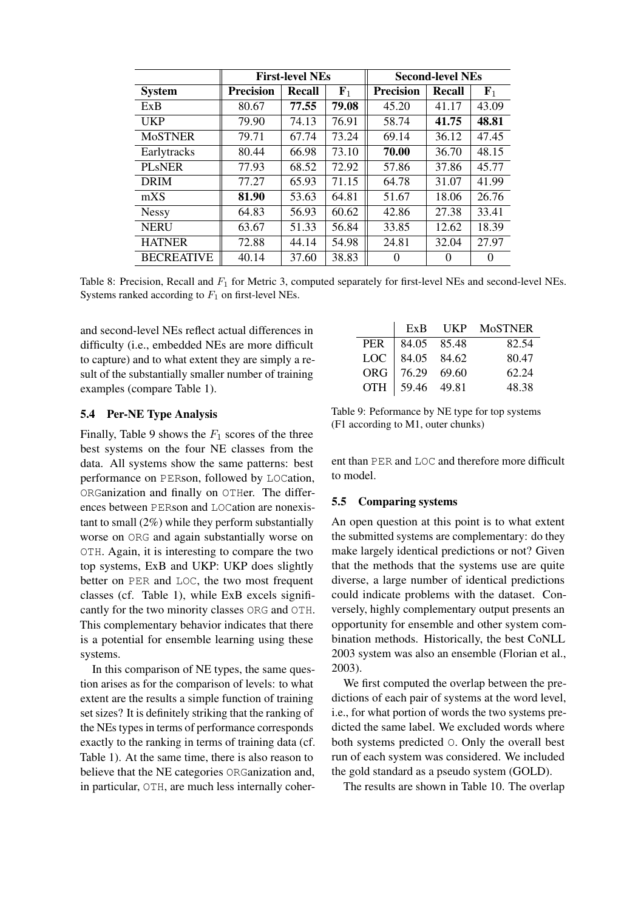|                   |                  | <b>First-level NEs</b> |             | <b>Second-level NEs</b> |               |          |  |  |  |
|-------------------|------------------|------------------------|-------------|-------------------------|---------------|----------|--|--|--|
| <b>System</b>     | <b>Precision</b> | <b>Recall</b>          | ${\bf F}_1$ | <b>Precision</b>        | <b>Recall</b> | $F_1$    |  |  |  |
| ExB               | 80.67            | 77.55                  | 79.08       | 45.20                   | 41.17         | 43.09    |  |  |  |
| UKP               | 79.90            | 74.13                  | 76.91       | 58.74                   | 41.75         | 48.81    |  |  |  |
| <b>MoSTNER</b>    | 79.71            | 67.74                  | 73.24       | 69.14                   | 36.12         | 47.45    |  |  |  |
| Earlytracks       | 80.44            | 66.98                  | 73.10       | 70.00                   | 36.70         | 48.15    |  |  |  |
| <b>PL</b> sNER    | 77.93            | 68.52                  | 72.92       | 57.86                   | 37.86         | 45.77    |  |  |  |
| <b>DRIM</b>       | 77.27            | 65.93                  | 71.15       | 64.78                   | 31.07         | 41.99    |  |  |  |
| mXS               | 81.90            | 53.63                  | 64.81       | 51.67                   | 18.06         | 26.76    |  |  |  |
| <b>Nessy</b>      | 64.83            | 56.93                  | 60.62       | 42.86                   | 27.38         | 33.41    |  |  |  |
| <b>NERU</b>       | 63.67            | 51.33                  | 56.84       | 33.85                   | 12.62         | 18.39    |  |  |  |
| <b>HATNER</b>     | 72.88            | 44.14                  | 54.98       | 24.81                   | 32.04         | 27.97    |  |  |  |
| <b>BECREATIVE</b> | 40.14            | 37.60                  | 38.83       | 0                       | $\Omega$      | $\Omega$ |  |  |  |

Table 8: Precision, Recall and  $F_1$  for Metric 3, computed separately for first-level NEs and second-level NEs. Systems ranked according to  $F_1$  on first-level NEs.

and second-level NEs reflect actual differences in difficulty (i.e., embedded NEs are more difficult to capture) and to what extent they are simply a result of the substantially smaller number of training examples (compare Table 1).

#### 5.4 Per-NE Type Analysis

Finally, Table 9 shows the  $F_1$  scores of the three best systems on the four NE classes from the data. All systems show the same patterns: best performance on PERson, followed by LOCation, ORGanization and finally on OTHer. The differences between PERson and LOCation are nonexistant to small  $(2\%)$  while they perform substantially worse on ORG and again substantially worse on OTH. Again, it is interesting to compare the two top systems, ExB and UKP: UKP does slightly better on PER and LOC, the two most frequent classes (cf. Table 1), while ExB excels significantly for the two minority classes ORG and OTH. This complementary behavior indicates that there is a potential for ensemble learning using these systems.

In this comparison of NE types, the same question arises as for the comparison of levels: to what extent are the results a simple function of training set sizes? It is definitely striking that the ranking of the NEs types in terms of performance corresponds exactly to the ranking in terms of training data (cf. Table 1). At the same time, there is also reason to believe that the NE categories ORGanization and, in particular, OTH, are much less internally coher-

|       |                 | ExB UKP MoSTNER |
|-------|-----------------|-----------------|
| PER   | $84.05$ 85.48   | 82.54           |
| LOC - | 84.05 84.62     | 80.47           |
|       | ORG 76.29 69.60 | 62.24           |
|       | OTH 59.46 49.81 | 48.38           |

Table 9: Peformance by NE type for top systems (F1 according to M1, outer chunks)

ent than PER and LOC and therefore more difficult to model.

### 5.5 Comparing systems

An open question at this point is to what extent the submitted systems are complementary: do they make largely identical predictions or not? Given that the methods that the systems use are quite diverse, a large number of identical predictions could indicate problems with the dataset. Conversely, highly complementary output presents an opportunity for ensemble and other system combination methods. Historically, the best CoNLL 2003 system was also an ensemble (Florian et al., 2003).

We first computed the overlap between the predictions of each pair of systems at the word level, i.e., for what portion of words the two systems predicted the same label. We excluded words where both systems predicted O. Only the overall best run of each system was considered. We included the gold standard as a pseudo system (GOLD).

The results are shown in Table 10. The overlap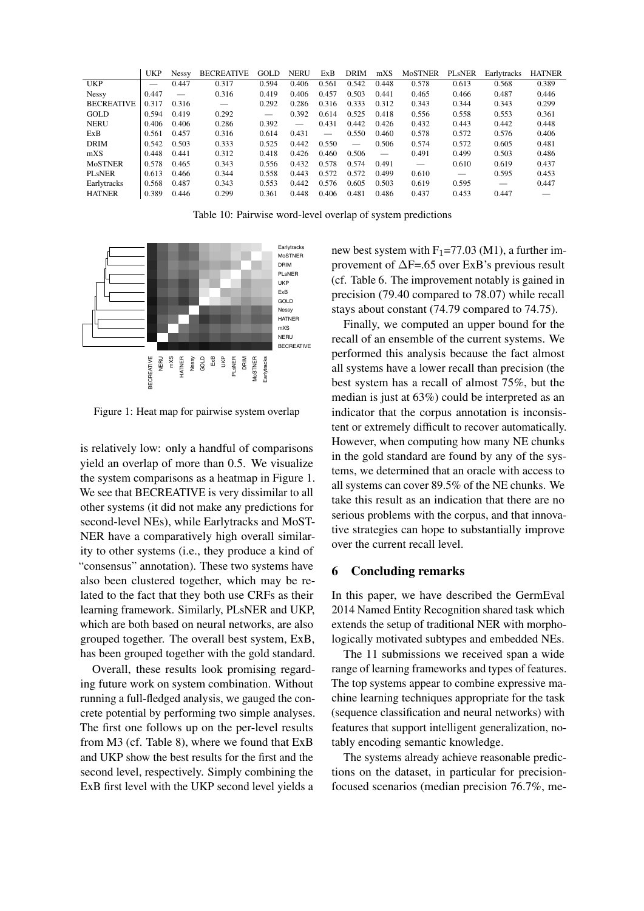|                     | UKP                      | <b>Nessy</b> | <b>BECREATIVE</b>        | GOLD  | <b>NERU</b>     | ExB   | <b>DRIM</b> | mXS                      | MoSTNER | <b>PLSNER</b> | Earlytracks | <b>HATNER</b> |
|---------------------|--------------------------|--------------|--------------------------|-------|-----------------|-------|-------------|--------------------------|---------|---------------|-------------|---------------|
| <b>UKP</b>          | $\overline{\phantom{a}}$ | 0.447        | 0.317                    | 0.594 | 0.406           | 0.561 | 0.542       | 0.448                    | 0.578   | 0.613         | 0.568       | 0.389         |
| <b>Nessy</b>        | 0.447                    |              | 0.316                    | 0.419 | 0.406           | 0.457 | 0.503       | 0.441                    | 0.465   | 0.466         | 0.487       | 0.446         |
| <b>BECREATIVE</b>   | 0.317                    | 0.316        | $\overline{\phantom{m}}$ | 0.292 | 0.286           | 0.316 | 0.333       | 0.312                    | 0.343   | 0.344         | 0.343       | 0.299         |
| GOLD                | 0.594                    | 0.419        | 0.292                    |       | 0.392           | 0.614 | 0.525       | 0.418                    | 0.556   | 0.558         | 0.553       | 0.361         |
| <b>NERU</b>         | 0.406                    | 0.406        | 0.286                    | 0.392 | $\qquad \qquad$ | 0.431 | 0.442       | 0.426                    | 0.432   | 0.443         | 0.442       | 0.448         |
| ExB                 | 0.561                    | 0.457        | 0.316                    | 0.614 | 0.431           |       | 0.550       | 0.460                    | 0.578   | 0.572         | 0.576       | 0.406         |
| <b>DRIM</b>         | 0.542                    | 0.503        | 0.333                    | 0.525 | 0.442           | 0.550 |             | 0.506                    | 0.574   | 0.572         | 0.605       | 0.481         |
| mXS                 | 0.448                    | 0.441        | 0.312                    | 0.418 | 0.426           | 0.460 | 0.506       | $\overline{\phantom{m}}$ | 0.491   | 0.499         | 0.503       | 0.486         |
| <b>MoSTNER</b>      | 0.578                    | 0.465        | 0.343                    | 0.556 | 0.432           | 0.578 | 0.574       | 0.491                    |         | 0.610         | 0.619       | 0.437         |
| PL <sub>s</sub> NER | 0.613                    | 0.466        | 0.344                    | 0.558 | 0.443           | 0.572 | 0.572       | 0.499                    | 0.610   |               | 0.595       | 0.453         |
| Earlytracks         | 0.568                    | 0.487        | 0.343                    | 0.553 | 0.442           | 0.576 | 0.605       | 0.503                    | 0.619   | 0.595         |             | 0.447         |
| <b>HATNER</b>       | 0.389                    | 0.446        | 0.299                    | 0.361 | 0.448           | 0.406 | 0.481       | 0.486                    | 0.437   | 0.453         | 0.447       |               |

Table 10: Pairwise word-level overlap of system predictions



Figure 1: Heat map for pairwise system overlap

is relatively low: only a handful of comparisons yield an overlap of more than 0.5. We visualize the system comparisons as a heatmap in Figure 1. We see that BECREATIVE is very dissimilar to all other systems (it did not make any predictions for second-level NEs), while Earlytracks and MoST-NER have a comparatively high overall similarity to other systems (i.e., they produce a kind of "consensus" annotation). These two systems have also been clustered together, which may be related to the fact that they both use CRFs as their learning framework. Similarly, PLsNER and UKP, which are both based on neural networks, are also grouped together. The overall best system, ExB, has been grouped together with the gold standard.

Overall, these results look promising regarding future work on system combination. Without running a full-fledged analysis, we gauged the concrete potential by performing two simple analyses. The first one follows up on the per-level results from M3 (cf. Table 8), where we found that ExB and UKP show the best results for the first and the second level, respectively. Simply combining the ExB first level with the UKP second level yields a

new best system with  $F_1$ =77.03 (M1), a further improvement of ∆F=.65 over ExB's previous result (cf. Table 6. The improvement notably is gained in precision (79.40 compared to 78.07) while recall stays about constant (74.79 compared to 74.75).

Finally, we computed an upper bound for the recall of an ensemble of the current systems. We performed this analysis because the fact almost all systems have a lower recall than precision (the best system has a recall of almost 75%, but the median is just at 63%) could be interpreted as an indicator that the corpus annotation is inconsistent or extremely difficult to recover automatically. However, when computing how many NE chunks in the gold standard are found by any of the systems, we determined that an oracle with access to all systems can cover 89.5% of the NE chunks. We take this result as an indication that there are no serious problems with the corpus, and that innovative strategies can hope to substantially improve over the current recall level.

#### 6 Concluding remarks

In this paper, we have described the GermEval 2014 Named Entity Recognition shared task which extends the setup of traditional NER with morphologically motivated subtypes and embedded NEs.

The 11 submissions we received span a wide range of learning frameworks and types of features. The top systems appear to combine expressive machine learning techniques appropriate for the task (sequence classification and neural networks) with features that support intelligent generalization, notably encoding semantic knowledge.

The systems already achieve reasonable predictions on the dataset, in particular for precisionfocused scenarios (median precision 76.7%, me